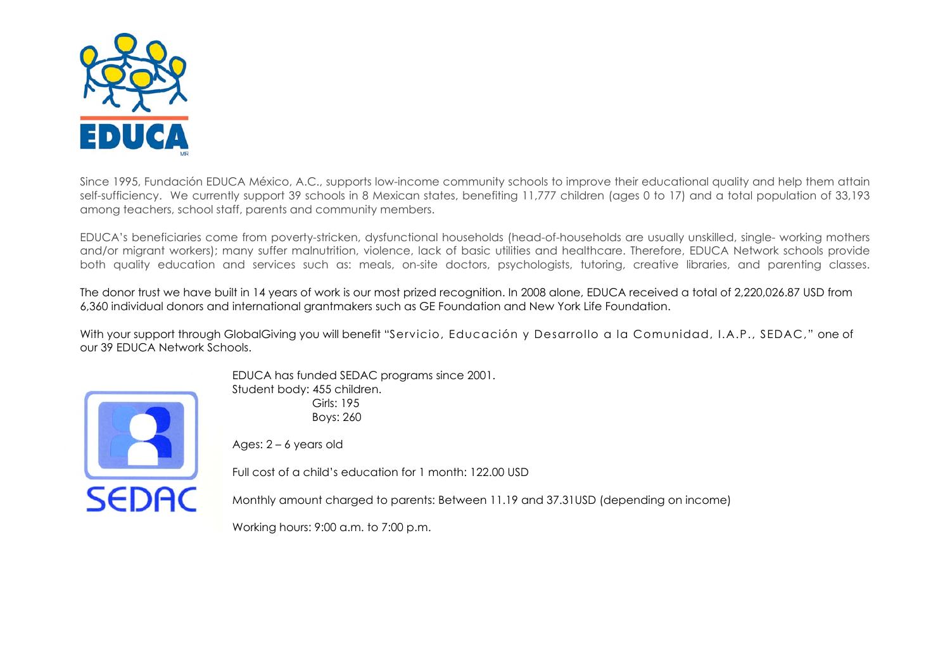

Since 1995, Fundación EDUCA México, A.C., supports low-income community schools to improve their educational quality and help them attain self-sufficiency. We currently support 39 schools in 8 Mexican states, benefiting 11,777 children (ages 0 to 17) and a total population of 33,193 among teachers, school staff, parents and community members.

EDUCA's beneficiaries come from poverty-stricken, dysfunctional households (head-of-households are usually unskilled, single- working mothers and/or migrant workers); many suffer malnutrition, violence, lack of basic utilities and healthcare. Therefore, EDUCA Network schools provide both quality education and services such as: meals, on-site doctors, psychologists, tutoring, creative libraries, and parenting classes.

The donor trust we have built in 14 years of work is our most prized recognition. In 2008 alone, EDUCA received a total of 2,220,026.87 USD from 6,360 individual donors and international grantmakers such as GE Foundation and New York Life Foundation.

With your support through GlobalGiving you will benefit "Servicio, Educación y Desarrollo a la Comunidad, I.A.P., SEDAC," one of our 39 EDUCA Network Schools.



EDUCA has funded SEDAC programs since 2001. Student body: 455 children. Girls: 195 Boys: 260

Ages: 2 – 6 years old

Full cost of a child's education for 1 month: 122.00 USD

Monthly amount charged to parents: Between 11.19 and 37.31USD (depending on income)

Working hours: 9:00 a.m. to 7:00 p.m.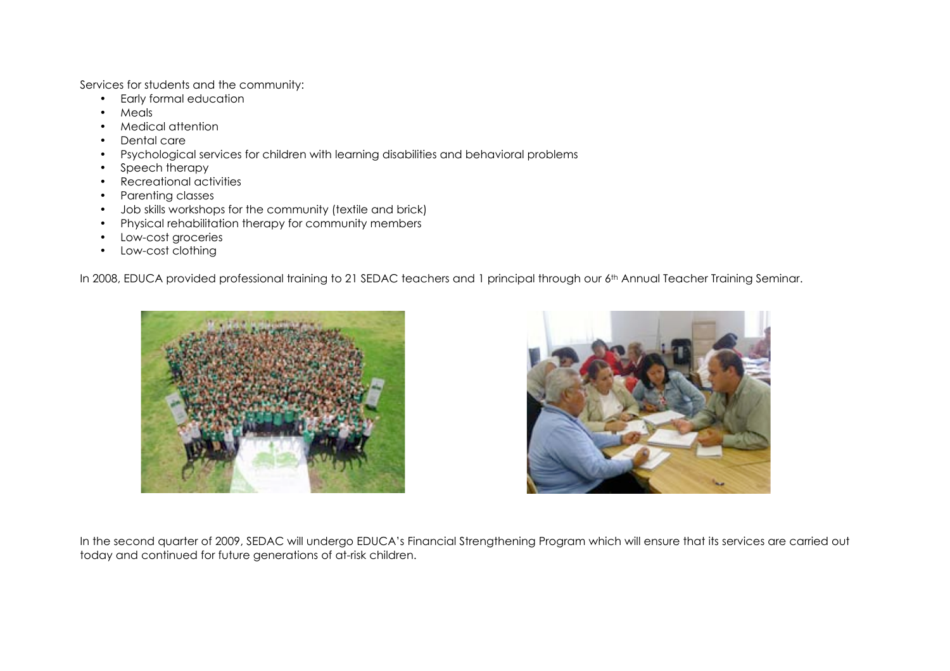Services for students and the community:

- Early formal education
- Meals
- Medical attention
- Dental care
- Psychological services for children with learning disabilities and behavioral problems
- Speech therapy
- Recreational activities
- Parenting classes
- Job skills workshops for the community (textile and brick)
- Physical rehabilitation therapy for community members
- Low-cost groceries
- Low-cost clothing

In 2008, EDUCA provided professional training to 21 SEDAC teachers and 1 principal through our 6<sup>th</sup> Annual Teacher Training Seminar.





In the second quarter of 2009, SEDAC will undergo EDUCA's Financial Strengthening Program which will ensure that its services are carried out today and continued for future generations of at-risk children.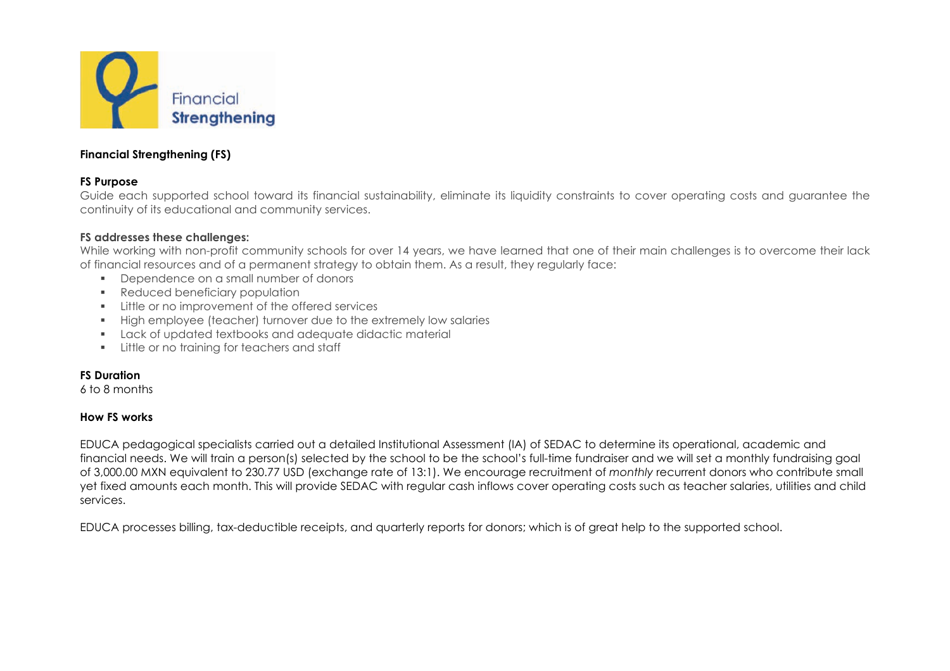

# **Financial Strengthening (FS)**

## **FS Purpose**

Guide each supported school toward its financial sustainability, eliminate its liquidity constraints to cover operating costs and guarantee the continuity of its educational and community services.

## **FS addresses these challenges:**

While working with non-profit community schools for over 14 years, we have learned that one of their main challenges is to overcome their lack of financial resources and of a permanent strategy to obtain them. As a result, they regularly face:

- Dependence on a small number of donors
- **Reduced beneficiary population**
- **EXECUTE:** Little or no improvement of the offered services
- High employee (teacher) turnover due to the extremely low salaries
- Lack of updated textbooks and adequate didactic material
- **EXECUTE:** Little or no training for teachers and staff

## **FS Duration**

6 to 8 months

## **How FS works**

EDUCA pedagogical specialists carried out a detailed Institutional Assessment (IA) of SEDAC to determine its operational, academic and financial needs. We will train a person(s) selected by the school to be the school's full-time fundraiser and we will set a monthly fundraising goal of 3,000.00 MXN equivalent to 230.77 USD (exchange rate of 13:1). We encourage recruitment of *monthly* recurrent donors who contribute small yet fixed amounts each month. This will provide SEDAC with regular cash inflows cover operating costs such as teacher salaries, utilities and child services.

EDUCA processes billing, tax-deductible receipts, and quarterly reports for donors; which is of great help to the supported school.